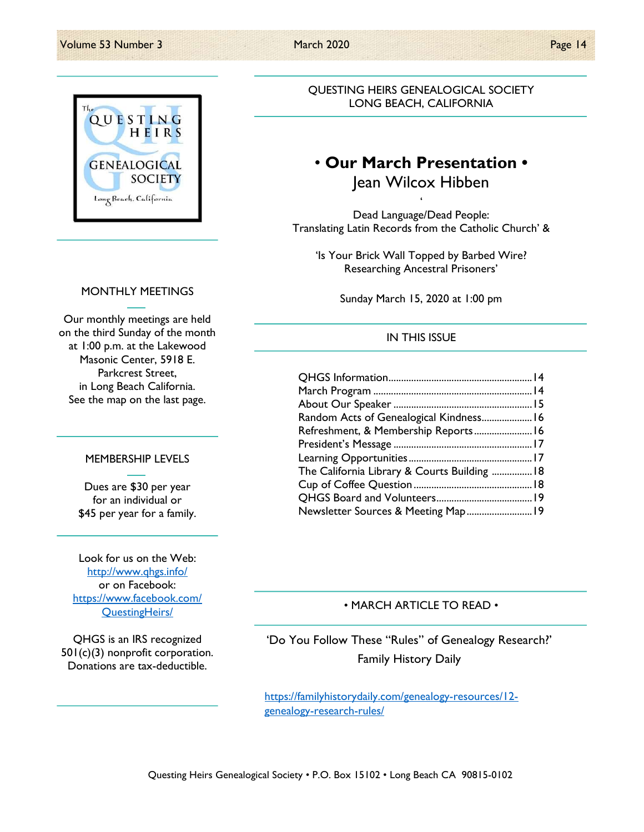

QUESTING HEIRS GENEALOGICAL SOCIETY LONG BEACH, CALIFORNIA

# • Our March Presentation • Jean Wilcox Hibben

 $\ddot{\phantom{0}}$ Dead Language/Dead People: Translating Latin Records from the Catholic Church' &

'Is Your Brick Wall Topped by Barbed Wire? Researching Ancestral Prisoners'

Sunday March 15, 2020 at 1:00 pm

## IN THIS ISSUE

| Random Acts of Genealogical Kindness 16      |  |
|----------------------------------------------|--|
| Refreshment, & Membership Reports 16         |  |
|                                              |  |
|                                              |  |
| The California Library & Courts Building  18 |  |
|                                              |  |
|                                              |  |
| Newsletter Sources & Meeting Map 19          |  |

### • MARCH ARTICLE TO READ •

'Do You Follow These "Rules" of Genealogy Research?' Family History Daily

https://familyhistorydaily.com/genealogy-resources/12 genealogy-research-rules/

#### MONTHLY MEETINGS

Our monthly meetings are held on the third Sunday of the month at 1:00 p.m. at the Lakewood Masonic Center, 5918 E. Parkcrest Street, in Long Beach California. See the map on the last page.

#### MEMBERSHIP LEVELS

Dues are \$30 per year for an individual or \$45 per year for a family.

Look for us on the Web: http://www.qhgs.info/ or on Facebook: https://www.facebook.com/ QuestingHeirs/

QHGS is an IRS recognized 501(c)(3) nonprofit corporation. Donations are tax-deductible.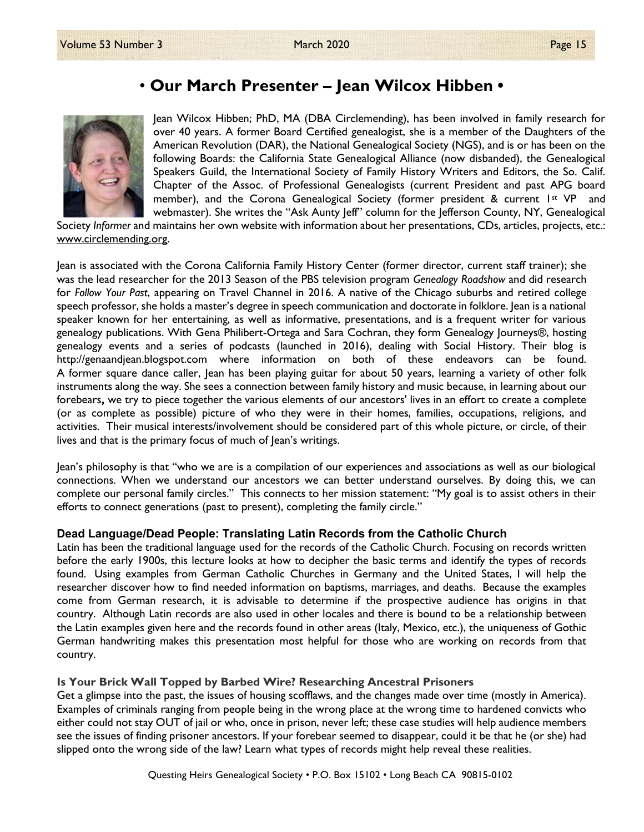# • Our March Presenter – Jean Wilcox Hibben •



Jean Wilcox Hibben; PhD, MA (DBA Circlemending), has been involved in family research for over 40 years. A former Board Certified genealogist, she is a member of the Daughters of the American Revolution (DAR), the National Genealogical Society (NGS), and is or has been on the following Boards: the California State Genealogical Alliance (now disbanded), the Genealogical Speakers Guild, the International Society of Family History Writers and Editors, the So. Calif. Chapter of the Assoc. of Professional Genealogists (current President and past APG board member), and the Corona Genealogical Society (former president & current 1st VP and webmaster). She writes the "Ask Aunty Jeff" column for the Jefferson County, NY, Genealogical

Society Informer and maintains her own website with information about her presentations, CDs, articles, projects, etc.: www.circlemending.org.

Jean is associated with the Corona California Family History Center (former director, current staff trainer); she was the lead researcher for the 2013 Season of the PBS television program Genealogy Roadshow and did research for Follow Your Past, appearing on Travel Channel in 2016. A native of the Chicago suburbs and retired college speech professor, she holds a master's degree in speech communication and doctorate in folklore. Jean is a national speaker known for her entertaining, as well as informative, presentations, and is a frequent writer for various genealogy publications. With Gena Philibert-Ortega and Sara Cochran, they form Genealogy Journeys®, hosting genealogy events and a series of podcasts (launched in 2016), dealing with Social History. Their blog is http://genaandjean.blogspot.com where information on both of these endeavors can be found. A former square dance caller, Jean has been playing guitar for about 50 years, learning a variety of other folk instruments along the way. She sees a connection between family history and music because, in learning about our forebears, we try to piece together the various elements of our ancestors' lives in an effort to create a complete (or as complete as possible) picture of who they were in their homes, families, occupations, religions, and activities. Their musical interests/involvement should be considered part of this whole picture, or circle, of their lives and that is the primary focus of much of Jean's writings.

Jean's philosophy is that "who we are is a compilation of our experiences and associations as well as our biological connections. When we understand our ancestors we can better understand ourselves. By doing this, we can complete our personal family circles." This connects to her mission statement: "My goal is to assist others in their efforts to connect generations (past to present), completing the family circle."

### Dead Language/Dead People: Translating Latin Records from the Catholic Church

Latin has been the traditional language used for the records of the Catholic Church. Focusing on records written before the early 1900s, this lecture looks at how to decipher the basic terms and identify the types of records found. Using examples from German Catholic Churches in Germany and the United States, I will help the researcher discover how to find needed information on baptisms, marriages, and deaths. Because the examples come from German research, it is advisable to determine if the prospective audience has origins in that country. Although Latin records are also used in other locales and there is bound to be a relationship between the Latin examples given here and the records found in other areas (Italy, Mexico, etc.), the uniqueness of Gothic German handwriting makes this presentation most helpful for those who are working on records from that country.

### Is Your Brick Wall Topped by Barbed Wire? Researching Ancestral Prisoners

Get a glimpse into the past, the issues of housing scofflaws, and the changes made over time (mostly in America). Examples of criminals ranging from people being in the wrong place at the wrong time to hardened convicts who either could not stay OUT of jail or who, once in prison, never left; these case studies will help audience members see the issues of finding prisoner ancestors. If your forebear seemed to disappear, could it be that he (or she) had slipped onto the wrong side of the law? Learn what types of records might help reveal these realities.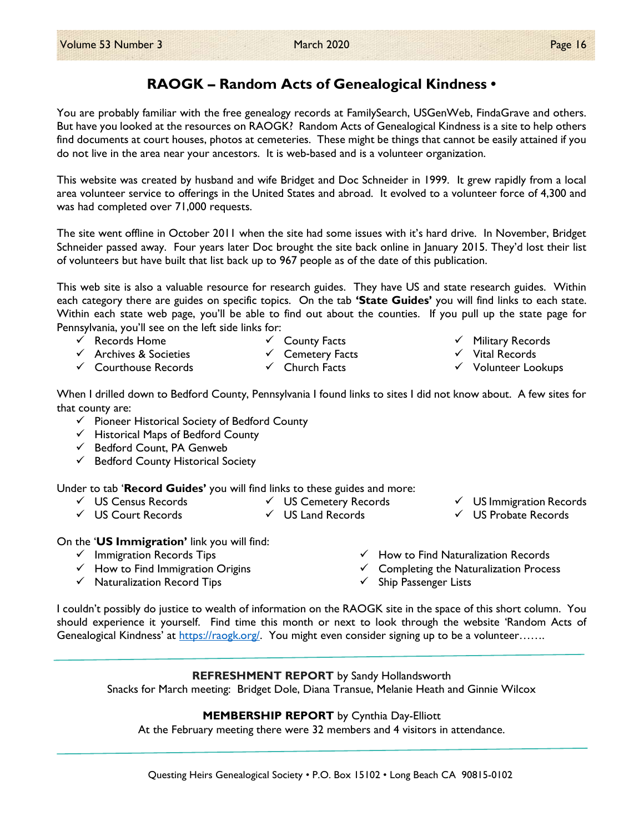## RAOGK – Random Acts of Genealogical Kindness •

You are probably familiar with the free genealogy records at FamilySearch, USGenWeb, FindaGrave and others. But have you looked at the resources on RAOGK? Random Acts of Genealogical Kindness is a site to help others find documents at court houses, photos at cemeteries. These might be things that cannot be easily attained if you do not live in the area near your ancestors. It is web-based and is a volunteer organization.

This website was created by husband and wife Bridget and Doc Schneider in 1999. It grew rapidly from a local area volunteer service to offerings in the United States and abroad. It evolved to a volunteer force of 4,300 and was had completed over 71,000 requests.

The site went offline in October 2011 when the site had some issues with it's hard drive. In November, Bridget Schneider passed away. Four years later Doc brought the site back online in January 2015. They'd lost their list of volunteers but have built that list back up to 967 people as of the date of this publication.

This web site is also a valuable resource for research guides. They have US and state research guides. Within each category there are guides on specific topics. On the tab 'State Guides' you will find links to each state. Within each state web page, you'll be able to find out about the counties. If you pull up the state page for Pennsylvania, you'll see on the left side links for:

- $\checkmark$  Records Home
- $\checkmark$  Archives & Societies
- $\checkmark$  Courthouse Records
- $\checkmark$  County Facts  $\checkmark$  Cemetery Facts
- $\checkmark$  Church Facts
- $\checkmark$  Military Records
- $\checkmark$  Vital Records
- $\checkmark$  Volunteer Lookups

When I drilled down to Bedford County, Pennsylvania I found links to sites I did not know about. A few sites for that county are:

- $\checkmark$  Pioneer Historical Society of Bedford County
- $\checkmark$  Historical Maps of Bedford County
- $\checkmark$  Bedford Count, PA Genweb
- $\checkmark$  Bedford County Historical Society

Under to tab 'Record Guides' you will find links to these guides and more:

- US Census Records
- US Court Records
- US Cemetery Records  $\checkmark$  US Land Records
- $\checkmark$  US Immigration Records
- US Probate Records

On the 'US Immigration' link you will find:

- $\checkmark$  Immigration Records Tips
- $\checkmark$  How to Find Immigration Origins
- $\checkmark$  Naturalization Record Tips
- $\checkmark$  How to Find Naturalization Records
- $\checkmark$  Completing the Naturalization Process
- $\checkmark$  Ship Passenger Lists

I couldn't possibly do justice to wealth of information on the RAOGK site in the space of this short column. You should experience it yourself. Find time this month or next to look through the website 'Random Acts of Genealogical Kindness' at https://raogk.org/. You might even consider signing up to be a volunteer.......

### REFRESHMENT REPORT by Sandy Hollandsworth

Snacks for March meeting: Bridget Dole, Diana Transue, Melanie Heath and Ginnie Wilcox

MEMBERSHIP REPORT by Cynthia Day-Elliott

At the February meeting there were 32 members and 4 visitors in attendance.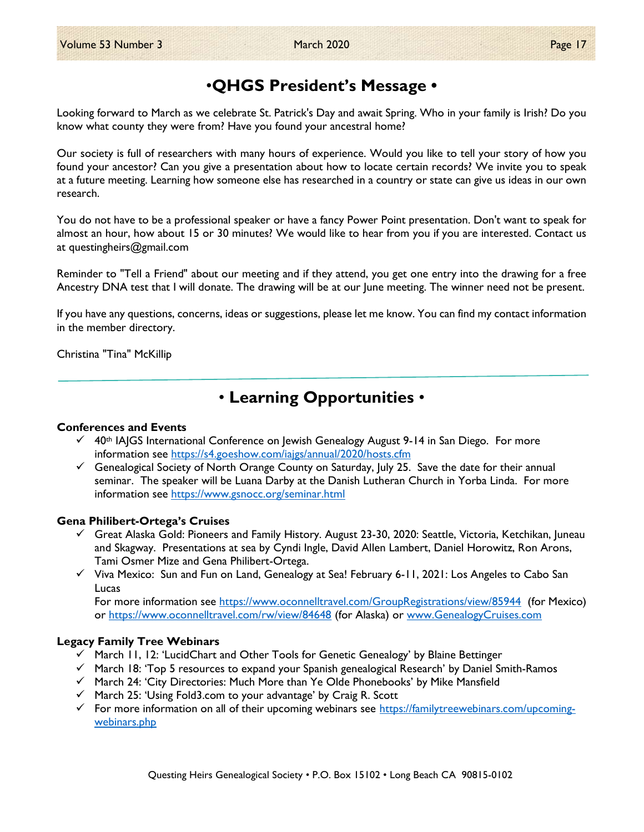# •QHGS President's Message •

Looking forward to March as we celebrate St. Patrick's Day and await Spring. Who in your family is Irish? Do you know what county they were from? Have you found your ancestral home?

Our society is full of researchers with many hours of experience. Would you like to tell your story of how you found your ancestor? Can you give a presentation about how to locate certain records? We invite you to speak at a future meeting. Learning how someone else has researched in a country or state can give us ideas in our own research.

You do not have to be a professional speaker or have a fancy Power Point presentation. Don't want to speak for almost an hour, how about 15 or 30 minutes? We would like to hear from you if you are interested. Contact us at questingheirs@gmail.com

Reminder to "Tell a Friend" about our meeting and if they attend, you get one entry into the drawing for a free Ancestry DNA test that I will donate. The drawing will be at our June meeting. The winner need not be present.

If you have any questions, concerns, ideas or suggestions, please let me know. You can find my contact information in the member directory.

Christina "Tina" McKillip

# • Learning Opportunities •

#### Conferences and Events

- $\checkmark$  40th IAJGS International Conference on Jewish Genealogy August 9-14 in San Diego. For more information see https://s4.goeshow.com/iajgs/annual/2020/hosts.cfm
- $\checkmark$  Genealogical Society of North Orange County on Saturday, July 25. Save the date for their annual seminar. The speaker will be Luana Darby at the Danish Lutheran Church in Yorba Linda. For more information see https://www.gsnocc.org/seminar.html

### Gena Philibert-Ortega's Cruises

- $\checkmark$  Great Alaska Gold: Pioneers and Family History. August 23-30, 2020: Seattle, Victoria, Ketchikan, Juneau and Skagway. Presentations at sea by Cyndi Ingle, David Allen Lambert, Daniel Horowitz, Ron Arons, Tami Osmer Mize and Gena Philibert-Ortega.
- $\checkmark$  Viva Mexico: Sun and Fun on Land, Genealogy at Sea! February 6-11, 2021: Los Angeles to Cabo San Lucas

For more information see https://www.oconnelltravel.com/GroupRegistrations/view/85944 (for Mexico) or https://www.oconnelltravel.com/rw/view/84648 (for Alaska) or www.GenealogyCruises.com

### Legacy Family Tree Webinars

- $\checkmark$  March 11, 12: 'LucidChart and Other Tools for Genetic Genealogy' by Blaine Bettinger
- $\checkmark$  March 18: 'Top 5 resources to expand your Spanish genealogical Research' by Daniel Smith-Ramos
- $\checkmark$  March 24: 'City Directories: Much More than Ye Olde Phonebooks' by Mike Mansfield
- $\checkmark$  March 25: 'Using Fold3.com to your advantage' by Craig R. Scott
- For more information on all of their upcoming webinars see https://familytreewebinars.com/upcomingwebinars.php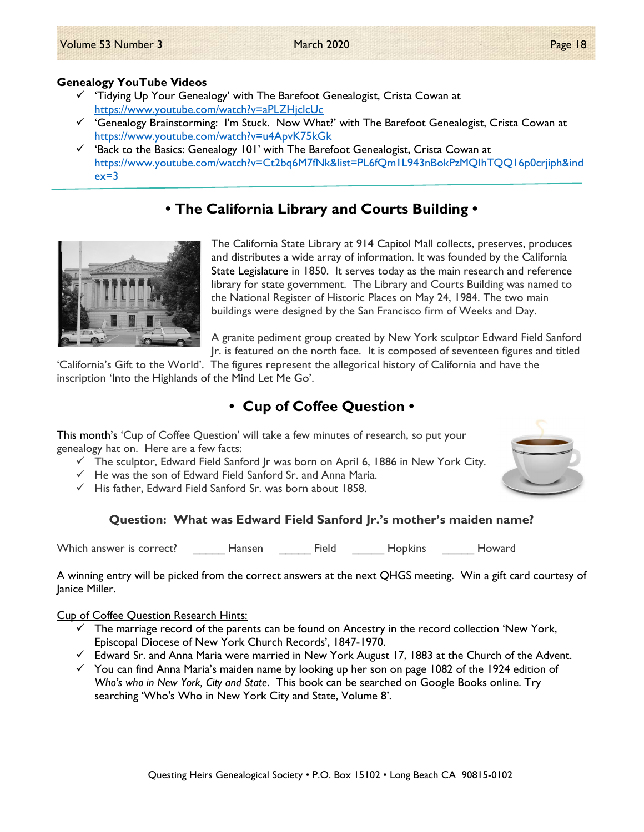- $\checkmark$  'Tidying Up Your Genealogy' with The Barefoot Genealogist, Crista Cowan at https://www.youtube.com/watch?v=aPLZHjclcUc
- $\checkmark$  'Genealogy Brainstorming: I'm Stuck. Now What?' with The Barefoot Genealogist, Crista Cowan at https://www.youtube.com/watch?v=u4ApvK75kGk
- $\checkmark$  'Back to the Basics: Genealogy 101' with The Barefoot Genealogist, Crista Cowan at https://www.youtube.com/watch?v=Ct2bq6M7fNk&list=PL6fQm1L943nBokPzMQIhTQQ16p0crjiph&ind  $ex=3$

## • The California Library and Courts Building •



The California State Library at 914 Capitol Mall collects, preserves, produces and distributes a wide array of information. It was founded by the California State Legislature in 1850. It serves today as the main research and reference library for state government. The Library and Courts Building was named to the National Register of Historic Places on May 24, 1984. The two main buildings were designed by the San Francisco firm of Weeks and Day.

A granite pediment group created by New York sculptor Edward Field Sanford Jr. is featured on the north face. It is composed of seventeen figures and titled

'California's Gift to the World'. The figures represent the allegorical history of California and have the inscription 'Into the Highlands of the Mind Let Me Go'.

## • Cup of Coffee Question •

This month's 'Cup of Coffee Question' will take a few minutes of research, so put your genealogy hat on. Here are a few facts:

- $\checkmark$  The sculptor, Edward Field Sanford Jr was born on April 6, 1886 in New York City.
- $\checkmark$  He was the son of Edward Field Sanford Sr. and Anna Maria.
- $\checkmark$  His father. Edward Field Sanford Sr. was born about 1858.

## Question: What was Edward Field Sanford Jr.'s mother's maiden name?

Which answer is correct? The Hansen Tield The Hopkins The Howard

A winning entry will be picked from the correct answers at the next QHGS meeting. Win a gift card courtesy of Janice Miller.

Cup of Coffee Question Research Hints:

- $\checkmark$  The marriage record of the parents can be found on Ancestry in the record collection 'New York, Episcopal Diocese of New York Church Records', 1847-1970.
- $\checkmark$  Edward Sr. and Anna Maria were married in New York August 17, 1883 at the Church of the Advent.
- $\checkmark$  You can find Anna Maria's maiden name by looking up her son on page 1082 of the 1924 edition of Who's who in New York, City and State. This book can be searched on Google Books online. Try searching 'Who's Who in New York City and State, Volume 8'.